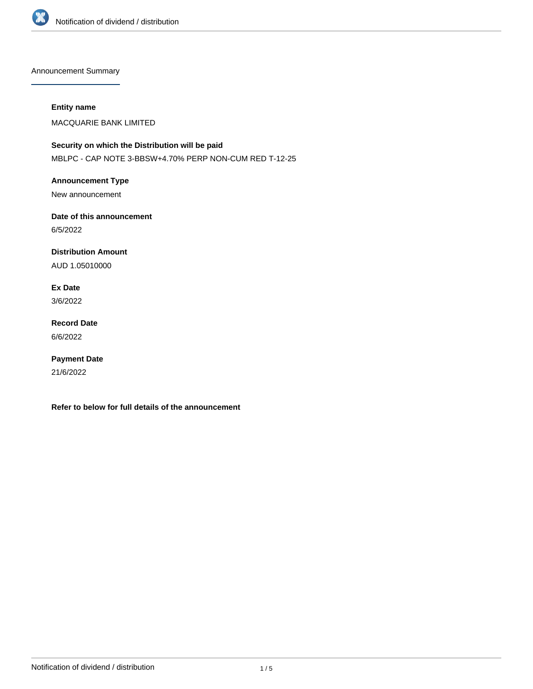

Announcement Summary

## **Entity name**

MACQUARIE BANK LIMITED

**Security on which the Distribution will be paid** MBLPC - CAP NOTE 3-BBSW+4.70% PERP NON-CUM RED T-12-25

**Announcement Type** New announcement

**Date of this announcement** 6/5/2022

**Distribution Amount**

AUD 1.05010000

**Ex Date** 3/6/2022

**Record Date** 6/6/2022

**Payment Date** 21/6/2022

**Refer to below for full details of the announcement**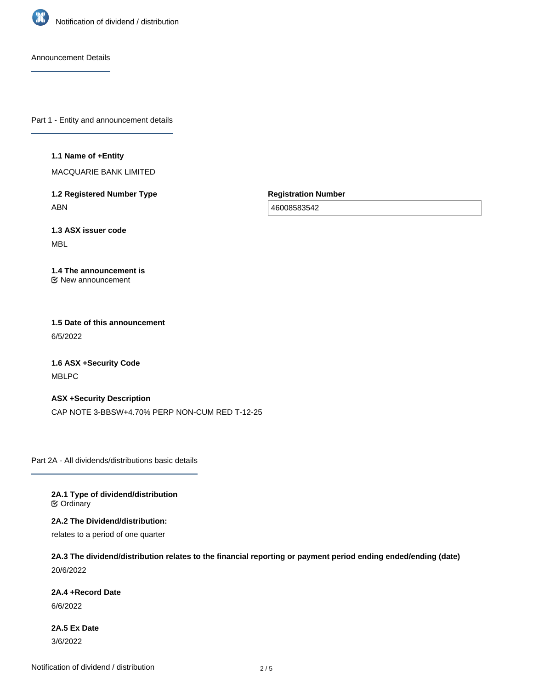

Announcement Details

Part 1 - Entity and announcement details

### **1.1 Name of +Entity**

MACQUARIE BANK LIMITED

**1.2 Registered Number Type** ABN

**Registration Number**

46008583542

**1.3 ASX issuer code** MBL

### **1.4 The announcement is** New announcement

**1.5 Date of this announcement** 6/5/2022

**1.6 ASX +Security Code** MBLPC

**ASX +Security Description** CAP NOTE 3-BBSW+4.70% PERP NON-CUM RED T-12-25

Part 2A - All dividends/distributions basic details

**2A.1 Type of dividend/distribution C** Ordinary

**2A.2 The Dividend/distribution:**

relates to a period of one quarter

**2A.3 The dividend/distribution relates to the financial reporting or payment period ending ended/ending (date)** 20/6/2022

**2A.4 +Record Date**

6/6/2022

**2A.5 Ex Date** 3/6/2022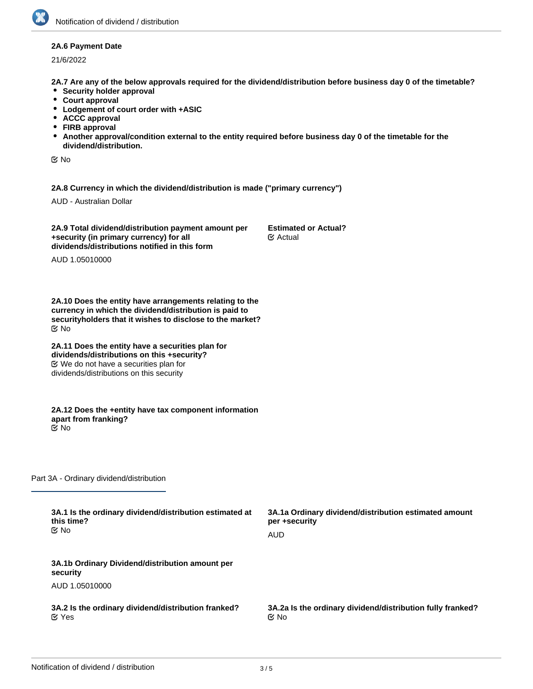### **2A.6 Payment Date**

21/6/2022

**2A.7 Are any of the below approvals required for the dividend/distribution before business day 0 of the timetable?**

- **•** Security holder approval
- **Court approval**
- **Lodgement of court order with +ASIC**
- **ACCC approval**
- **FIRB approval**
- **Another approval/condition external to the entity required before business day 0 of the timetable for the dividend/distribution.**

No

**2A.8 Currency in which the dividend/distribution is made ("primary currency")**

AUD - Australian Dollar

**2A.9 Total dividend/distribution payment amount per +security (in primary currency) for all dividends/distributions notified in this form**

**Estimated or Actual?** Actual

AUD 1.05010000

**2A.10 Does the entity have arrangements relating to the currency in which the dividend/distribution is paid to securityholders that it wishes to disclose to the market?** No

**2A.11 Does the entity have a securities plan for dividends/distributions on this +security?** We do not have a securities plan for dividends/distributions on this security

**2A.12 Does the +entity have tax component information apart from franking?** No

Part 3A - Ordinary dividend/distribution

| 3A.1 Is the ordinary dividend/distribution estimated at<br>this time?<br>tiX No | 3A.1a Ordinary dividend/distribution estimated amount<br>per +security |
|---------------------------------------------------------------------------------|------------------------------------------------------------------------|
|                                                                                 | AUD                                                                    |
| 3A.1b Ordinary Dividend/distribution amount per<br>security                     |                                                                        |
| AUD 1.05010000                                                                  |                                                                        |
| 3A.2 Is the ordinary dividend/distribution franked?<br>$\mathfrak C$ Yes        | 3A.2a Is the ordinary dividend/distribution fully franked?<br>় No     |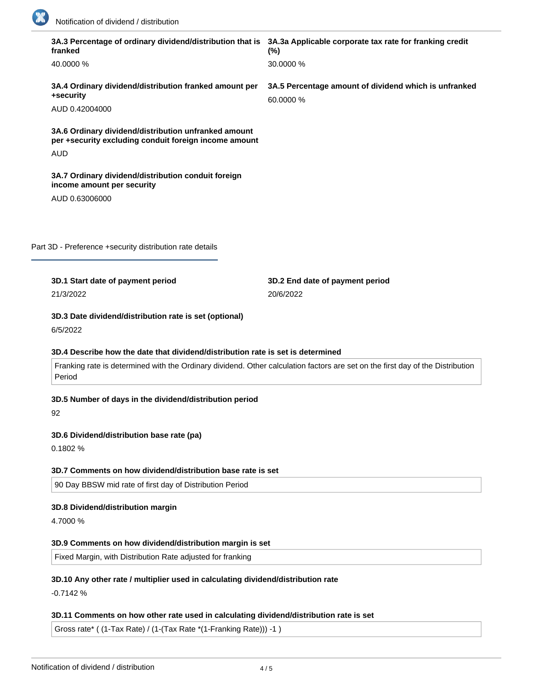

| franked                                                                                                       | 3A.3 Percentage of ordinary dividend/distribution that is 3A.3a Applicable corporate tax rate for franking credit<br>$(\%)$    |
|---------------------------------------------------------------------------------------------------------------|--------------------------------------------------------------------------------------------------------------------------------|
| 40.0000 %                                                                                                     | 30.0000 %                                                                                                                      |
| 3A.4 Ordinary dividend/distribution franked amount per<br>+security                                           | 3A.5 Percentage amount of dividend which is unfranked<br>60.0000 %                                                             |
| AUD 0.42004000                                                                                                |                                                                                                                                |
| 3A.6 Ordinary dividend/distribution unfranked amount<br>per +security excluding conduit foreign income amount |                                                                                                                                |
| <b>AUD</b>                                                                                                    |                                                                                                                                |
| 3A.7 Ordinary dividend/distribution conduit foreign<br>income amount per security                             |                                                                                                                                |
| AUD 0.63006000                                                                                                |                                                                                                                                |
|                                                                                                               |                                                                                                                                |
|                                                                                                               |                                                                                                                                |
| Part 3D - Preference +security distribution rate details                                                      |                                                                                                                                |
|                                                                                                               |                                                                                                                                |
| 3D.1 Start date of payment period                                                                             | 3D.2 End date of payment period                                                                                                |
| 21/3/2022                                                                                                     | 20/6/2022                                                                                                                      |
| 3D.3 Date dividend/distribution rate is set (optional)<br>6/5/2022                                            |                                                                                                                                |
|                                                                                                               |                                                                                                                                |
| 3D.4 Describe how the date that dividend/distribution rate is set is determined                               | Franking rate is determined with the Ordinary dividend. Other calculation factors are set on the first day of the Distribution |
| Period                                                                                                        |                                                                                                                                |
| 3D.5 Number of days in the dividend/distribution period<br>92                                                 |                                                                                                                                |
| 3D.6 Dividend/distribution base rate (pa)                                                                     |                                                                                                                                |
| 0.1802%                                                                                                       |                                                                                                                                |
|                                                                                                               |                                                                                                                                |
| 3D.7 Comments on how dividend/distribution base rate is set                                                   |                                                                                                                                |
| 90 Day BBSW mid rate of first day of Distribution Period                                                      |                                                                                                                                |
| 3D.8 Dividend/distribution margin                                                                             |                                                                                                                                |
| 4.7000 %                                                                                                      |                                                                                                                                |
| 3D.9 Comments on how dividend/distribution margin is set                                                      |                                                                                                                                |
| Fixed Margin, with Distribution Rate adjusted for franking                                                    |                                                                                                                                |
|                                                                                                               |                                                                                                                                |
| 3D.10 Any other rate / multiplier used in calculating dividend/distribution rate                              |                                                                                                                                |
| $-0.7142%$                                                                                                    |                                                                                                                                |

# **3D.11 Comments on how other rate used in calculating dividend/distribution rate is set**

Gross rate\* ( (1-Tax Rate) / (1-(Tax Rate \*(1-Franking Rate))) -1 )

**3D.12 Total dividend/distribution rate for the period (pa)**